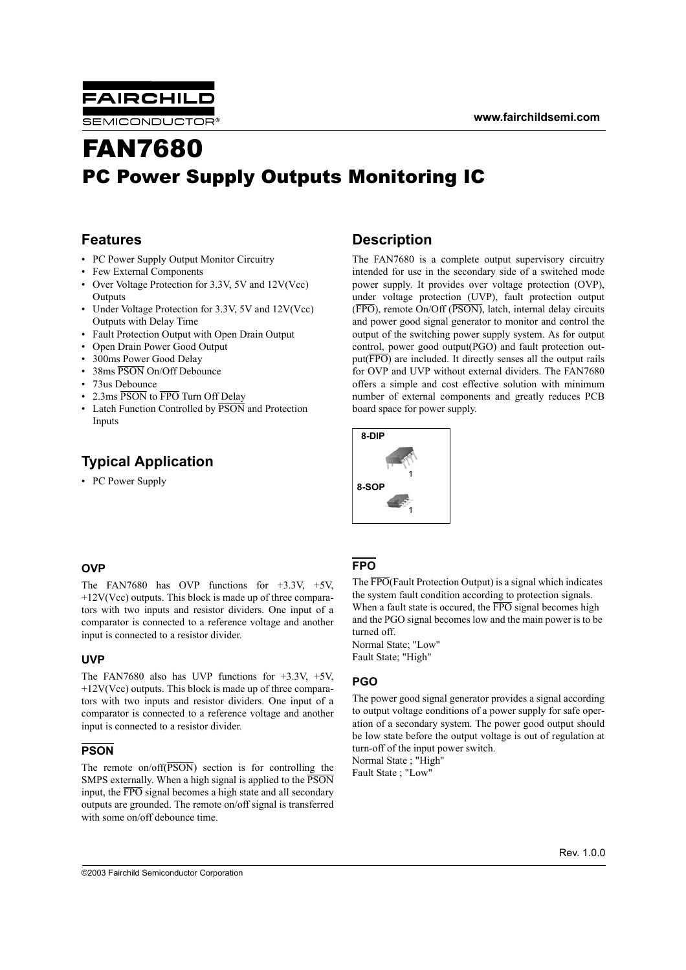

# FAN7680 PC Power Supply Outputs Monitoring IC

## **Features**

- PC Power Supply Output Monitor Circuitry
- Few External Components
- Over Voltage Protection for 3.3V, 5V and 12V(Vcc) **Outputs**
- Under Voltage Protection for 3.3V, 5V and 12V(Vcc) Outputs with Delay Time
- Fault Protection Output with Open Drain Output
- Open Drain Power Good Output
- 300ms Power Good Delay
- 38ms PSON On/Off Debounce
- 73us Debounce
- 2.3ms PSON to FPO Turn Off Delay
- Latch Function Controlled by PSON and Protection Inputs

# **Typical Application**

• PC Power Supply

## **Description**

The FAN7680 is a complete output supervisory circuitry intended for use in the secondary side of a switched mode power supply. It provides over voltage protection (OVP), under voltage protection (UVP), fault protection output (FPO), remote On/Off (PSON), latch, internal delay circuits and power good signal generator to monitor and control the output of the switching power supply system. As for output control, power good output(PGO) and fault protection output(FPO) are included. It directly senses all the output rails for OVP and UVP without external dividers. The FAN7680 offers a simple and cost effective solution with minimum number of external components and greatly reduces PCB board space for power supply.



## **OVP**

The FAN7680 has OVP functions for +3.3V, +5V,  $+12V(Vcc)$  outputs. This block is made up of three comparators with two inputs and resistor dividers. One input of a comparator is connected to a reference voltage and another input is connected to a resistor divider.

### **UVP**

The FAN7680 also has UVP functions for  $+3.3V$ ,  $+5V$ ,  $+12V(Vcc)$  outputs. This block is made up of three comparators with two inputs and resistor dividers. One input of a comparator is connected to a reference voltage and another input is connected to a resistor divider.

### **PSON**

The remote on/off(PSON) section is for controlling the SMPS externally. When a high signal is applied to the PSON input, the FPO signal becomes a high state and all secondary outputs are grounded. The remote on/off signal is transferred with some on/off debounce time.

## **FPO**

The FPO(Fault Protection Output) is a signal which indicates the system fault condition according to protection signals. When a fault state is occurred, the  $\overline{FPO}$  signal becomes high and the PGO signal becomes low and the main power is to be turned off. Normal State; "Low"

Fault State; "High"

### **PGO**

The power good signal generator provides a signal according to output voltage conditions of a power supply for safe operation of a secondary system. The power good output should be low state before the output voltage is out of regulation at turn-off of the input power switch. Normal State ; "High"

Fault State ; "Low"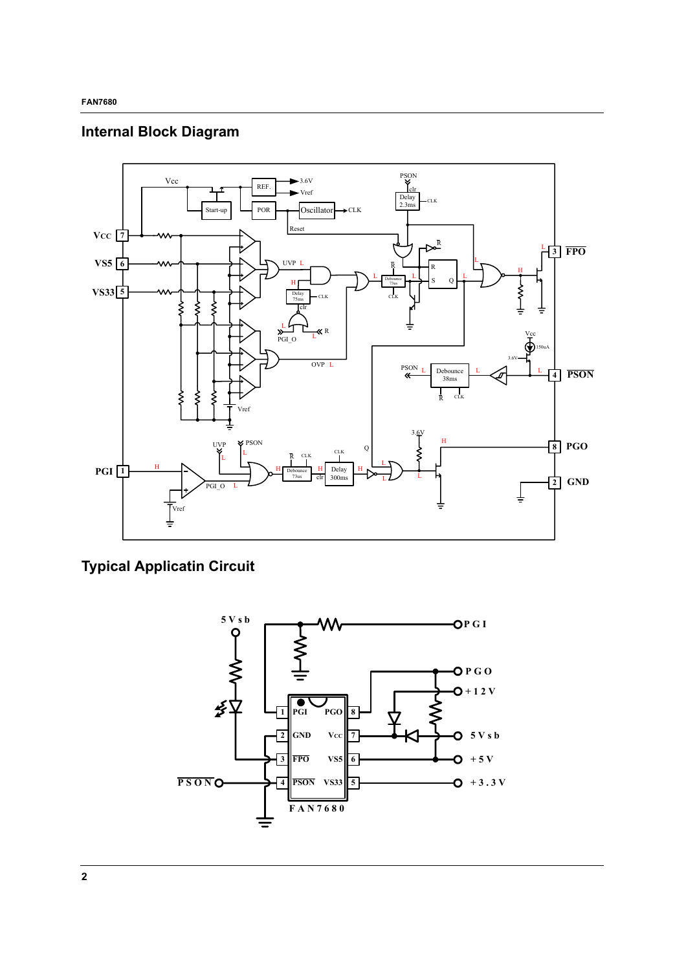# **Internal Block Diagram**



# **Typical Applicatin Circuit**

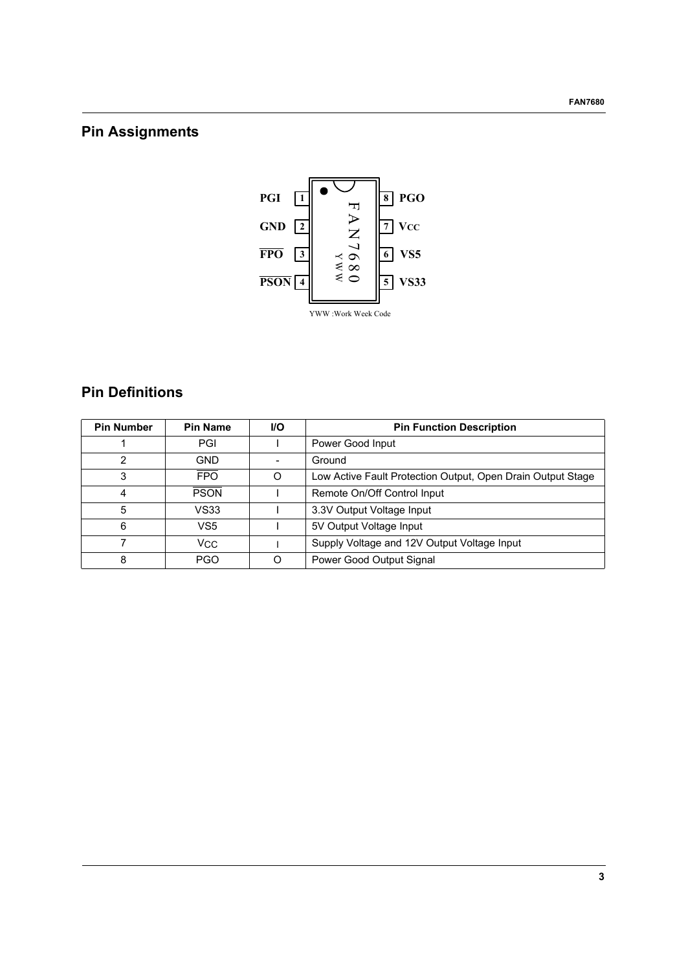# **Pin Assignments**



# **Pin Definitions**

| <b>Pin Number</b> | <b>Pin Name</b> | <b>I/O</b> | <b>Pin Function Description</b>                             |
|-------------------|-----------------|------------|-------------------------------------------------------------|
|                   | PGI             |            | Power Good Input                                            |
| 2                 | <b>GND</b>      |            | Ground                                                      |
| 3                 | <b>FPO</b>      | O          | Low Active Fault Protection Output, Open Drain Output Stage |
| 4                 | <b>PSON</b>     |            | Remote On/Off Control Input                                 |
| 5                 | VS33            |            | 3.3V Output Voltage Input                                   |
| 6                 | VS <sub>5</sub> |            | 5V Output Voltage Input                                     |
|                   | Vcc             |            | Supply Voltage and 12V Output Voltage Input                 |
| 8                 | PGO             | ∩          | Power Good Output Signal                                    |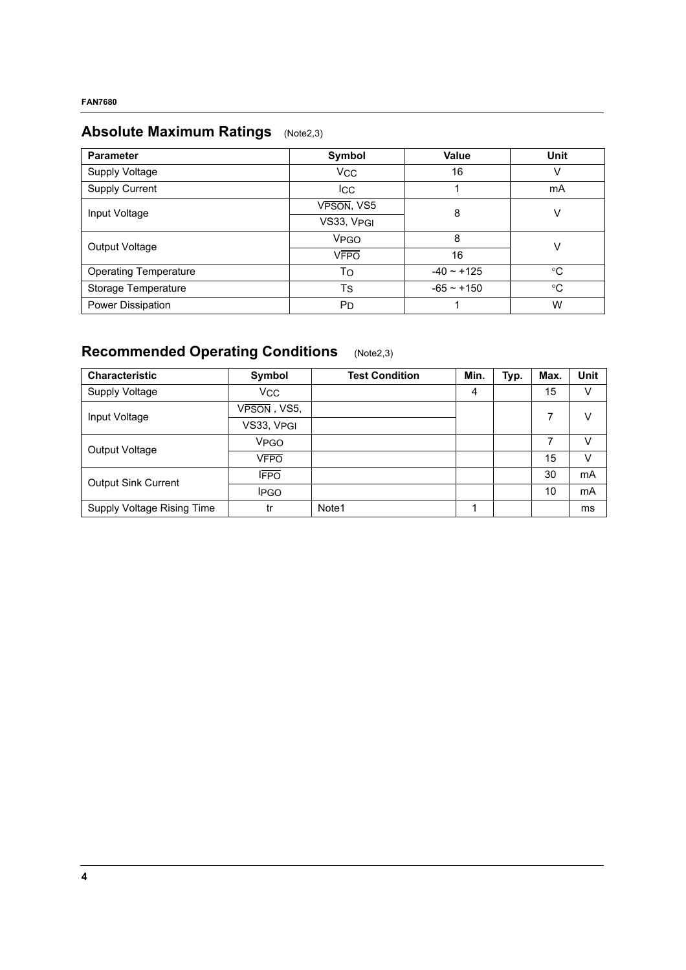# **Absolute Maximum Ratings** (Note2,3)

| <b>Parameter</b>             | Symbol                | Value           | Unit        |
|------------------------------|-----------------------|-----------------|-------------|
| Supply Voltage               | <b>VCC</b>            | 16              | v           |
| <b>Supply Current</b>        | <b>I</b> CC           |                 | mA          |
| Input Voltage                | VPSON, VS5            | 8               | V           |
|                              | VS33, VPGI            |                 |             |
| Output Voltage               | <b>VPGO</b>           | 8               | V           |
|                              | <b>VFPO</b>           | 16              |             |
| <b>Operating Temperature</b> | To                    | $-40 \sim +125$ | $^{\circ}C$ |
| Storage Temperature          | <b>T<sub>S</sub></b>  | $-65 - +150$    | $^{\circ}C$ |
| Power Dissipation            | <b>P</b> <sub>D</sub> |                 | W           |

# **Recommended Operating Conditions** (Note2,3)

| <b>Characteristic</b>      | Symbol                    | <b>Test Condition</b> | Min. | Typ. | Max. | <b>Unit</b> |
|----------------------------|---------------------------|-----------------------|------|------|------|-------------|
| Supply Voltage             | <b>VCC</b>                |                       | 4    |      | 15   | V           |
| Input Voltage              | $V\overline{PSON}$ , VS5, |                       |      |      | 7    | V           |
|                            | VS33, VPGI                |                       |      |      |      |             |
| Output Voltage             | VPGO                      |                       |      |      | 7    | v           |
|                            | VFPO                      |                       |      |      | 15   | v           |
| <b>Output Sink Current</b> | <b>IFPO</b>               |                       |      |      | 30   | mA          |
|                            | <b>IPGO</b>               |                       |      |      | 10   | mA          |
| Supply Voltage Rising Time | tr                        | Note1                 |      |      |      | ms          |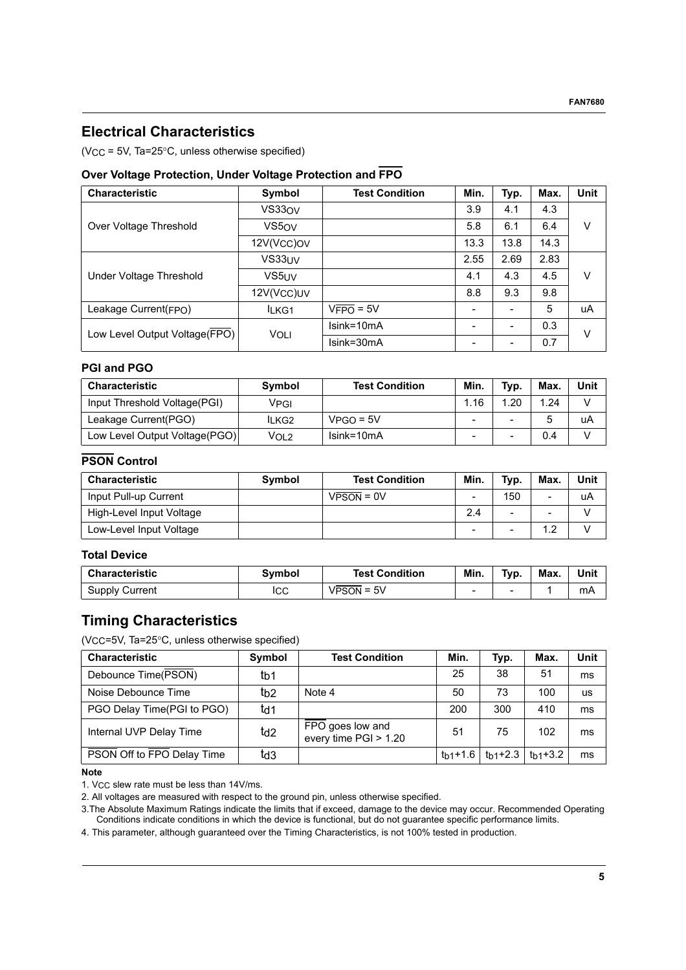## **Electrical Characteristics**

 $(VCC = 5V, Ta=25°C, unless otherwise specified)$ 

## **Over Voltage Protection, Under Voltage Protection and FPO**

| <b>Characteristic</b>         | Symbol            | <b>Test Condition</b> | Min. | Typ. | Max. | <b>Unit</b> |
|-------------------------------|-------------------|-----------------------|------|------|------|-------------|
|                               | VS330V            |                       | 3.9  | 4.1  | 4.3  |             |
| Over Voltage Threshold        | VS5 <sub>OV</sub> |                       | 5.8  | 6.1  | 6.4  | v           |
|                               | 12V(Vcc)ov        |                       | 13.3 | 13.8 | 14.3 |             |
|                               | VS33UV            |                       | 2.55 | 2.69 | 2.83 |             |
| Under Voltage Threshold       | VS5UV             |                       | 4.1  | 4.3  | 4.5  | V           |
|                               | 12V(Vcc)UV        |                       | 8.8  | 9.3  | 9.8  |             |
| Leakage Current(FPO)          | ILKG1             | $VFPO = 5V$           |      |      | 5    | uA          |
| Low Level Output Voltage(FPO) | <b>VOLI</b>       | Isink=10mA            |      | -    | 0.3  | v           |
|                               |                   | Isink=30mA            |      |      | 0.7  |             |

## **PGI and PGO**

| <b>Characteristic</b>         | Symbol | <b>Test Condition</b> | Min. | Typ. | Max. | Unit |
|-------------------------------|--------|-----------------------|------|------|------|------|
| Input Threshold Voltage(PGI)  | Vpgi   |                       | 1.16 | 1.20 | 1.24 |      |
| Leakage Current(PGO)          | lLKG2  | $VPGO = 5V$           |      | -    |      | uA   |
| Low Level Output Voltage(PGO) | VOL2   | $Isink=10mA$          |      | -    | 0.4  |      |

## **PSON Control**

| <b>Characteristic</b>    | <b>Symbol</b> | <b>Test Condition</b> | Min.                     | Typ.                     | Max.                     | Unit |
|--------------------------|---------------|-----------------------|--------------------------|--------------------------|--------------------------|------|
| Input Pull-up Current    |               | $VPSON = 0V$          | $\overline{\phantom{a}}$ | 150                      | $\overline{\phantom{a}}$ | uA   |
| High-Level Input Voltage |               |                       | 2.4                      | $\overline{\phantom{a}}$ | $\overline{\phantom{0}}$ |      |
| Low-Level Input Voltage  |               |                       | $\overline{\phantom{0}}$ | -                        | 1 ຕ                      |      |

## **Total Device**

| <b>Characteristic</b> | Svmbol | <b>Test Condition</b> | Min.                     | Typ. | Max. | Unit |
|-----------------------|--------|-----------------------|--------------------------|------|------|------|
| Supply Current        | ICC    | 5V<br>VPSON =         | $\overline{\phantom{0}}$ | -    |      | mA   |

## **Timing Characteristics**

(VCC=5V, Ta=25°C, unless otherwise specified)

| <b>Characteristic</b>      | Symbol          | <b>Test Condition</b>                     | Min.                 | Typ.      | Max.      | Unit      |
|----------------------------|-----------------|-------------------------------------------|----------------------|-----------|-----------|-----------|
| Debounce Time(PSON)        | tb1             |                                           | 25                   | 38        | 51        | ms        |
| Noise Debounce Time        | t <sub>b2</sub> | Note 4                                    | 50                   | 73        | 100       | <b>us</b> |
| PGO Delay Time(PGI to PGO) | td1             |                                           | 200                  | 300       | 410       | ms        |
| Internal UVP Delay Time    | td <sub>2</sub> | FPO goes low and<br>every time PGI > 1.20 | 51                   | 75        | 102       | ms        |
| PSON Off to FPO Delay Time | td3             |                                           | t <sub>h1</sub> +1.6 | $th1+2.3$ | $th1+3.2$ | ms        |

#### **Note**

1. VCC slew rate must be less than 14V/ms.

2. All voltages are measured with respect to the ground pin, unless otherwise specified.

3.The Absolute Maximum Ratings indicate the limits that if exceed, damage to the device may occur. Recommended Operating Conditions indicate conditions in which the device is functional, but do not guarantee specific performance limits.

4. This parameter, although guaranteed over the Timing Characteristics, is not 100% tested in production.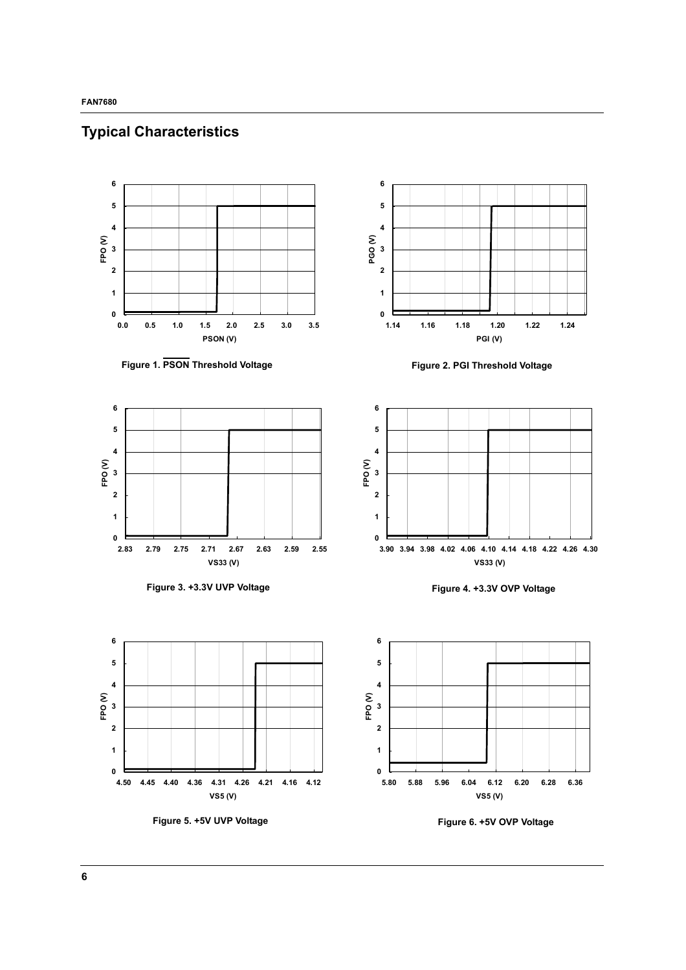

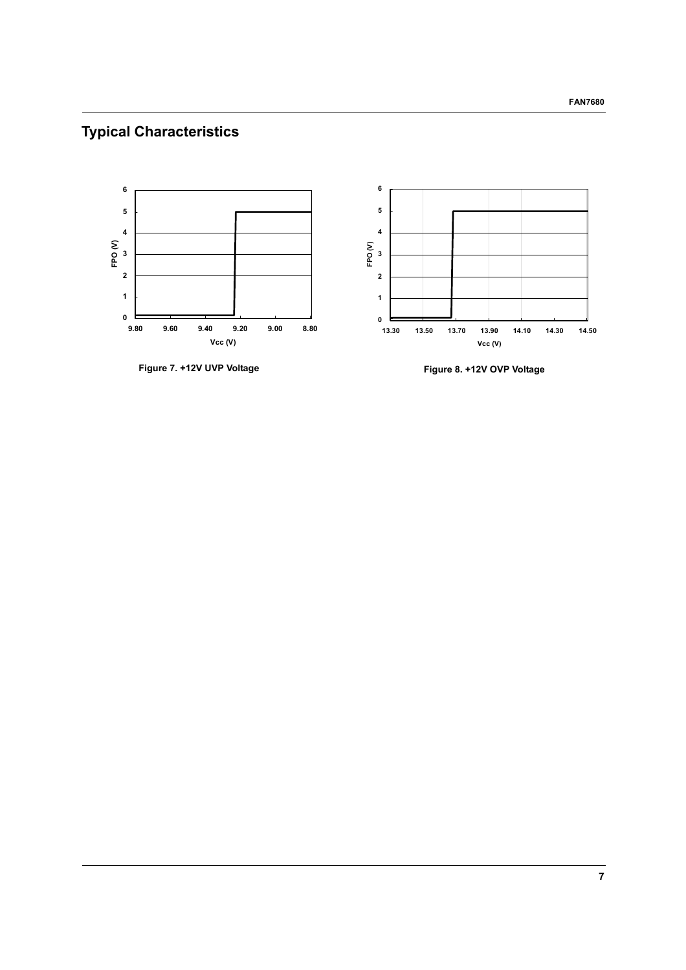# **Typical Characteristics**



**Figure 7. +12V UVP Voltage Figure 8. +12V OVP Voltage**

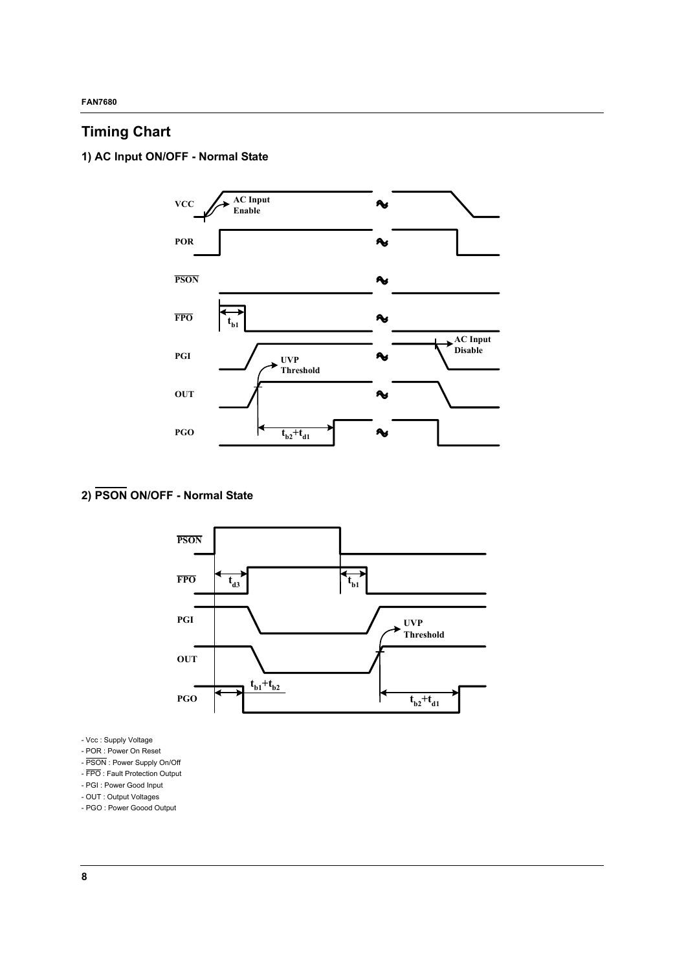## **Timing Chart**

**1) AC Input ON/OFF - Normal State**



# **2) PSON ON/OFF - Normal State**



- Vcc : Supply Voltage

- POR : Power On Reset
- PSON : Power Supply On/Off
- FPO : Fault Protection Output
- PGI : Power Good Input
- OUT : Output Voltages
- PGO : Power Goood Output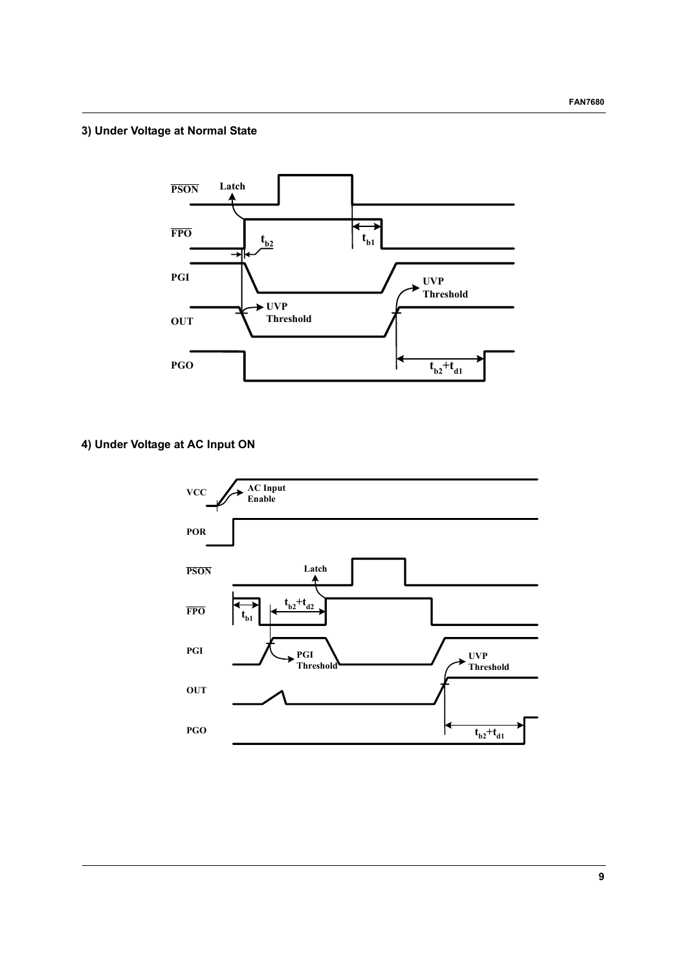## **3) Under Voltage at Normal State**



**4) Under Voltage at AC Input ON**

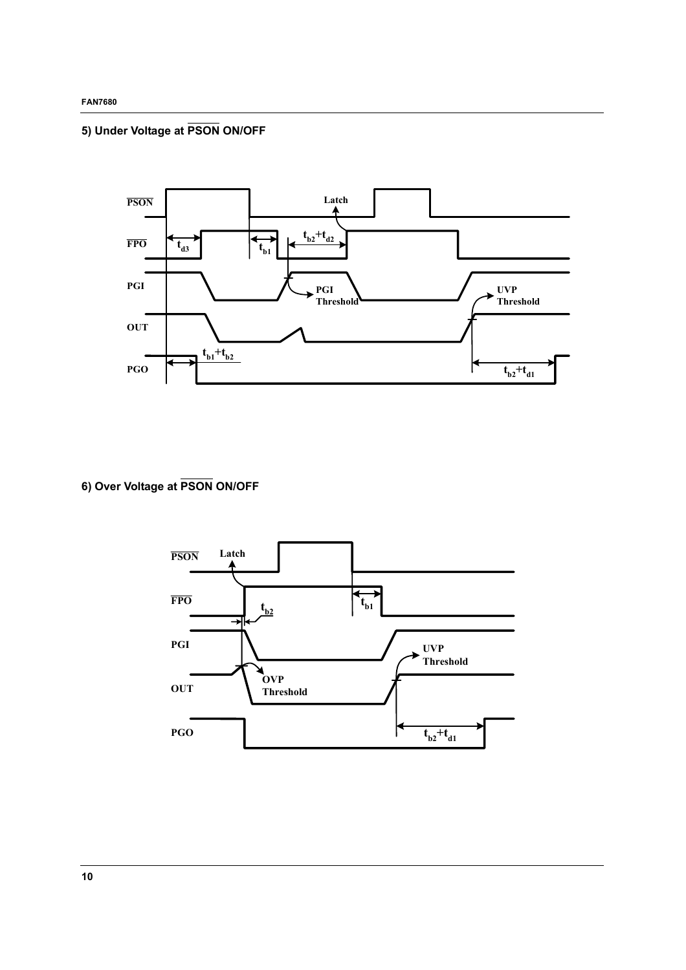# **5) Under Voltage at PSON ON/OFF**



**6) Over Voltage at PSON ON/OFF**

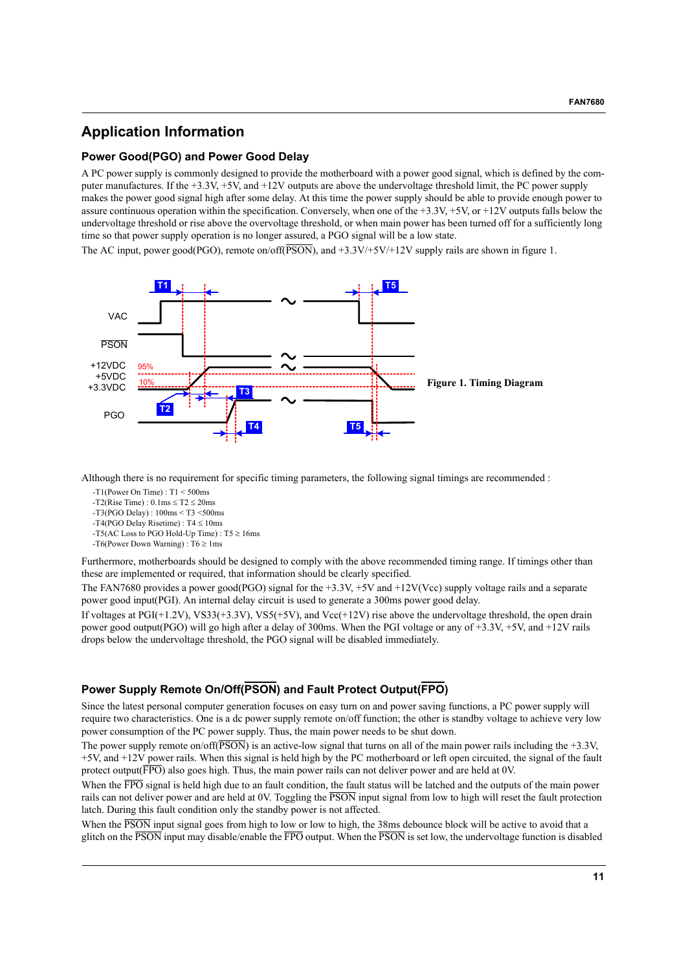## **Application Information**

#### **Power Good(PGO) and Power Good Delay**

A PC power supply is commonly designed to provide the motherboard with a power good signal, which is defined by the computer manufactures. If the +3.3V, +5V, and +12V outputs are above the undervoltage threshold limit, the PC power supply makes the power good signal high after some delay. At this time the power supply should be able to provide enough power to assure continuous operation within the specification. Conversely, when one of the  $+3.3V$ ,  $+5V$ , or  $+12V$  outputs falls below the undervoltage threshold or rise above the overvoltage threshold, or when main power has been turned off for a sufficiently long time so that power supply operation is no longer assured, a PGO signal will be a low state.

The AC input, power good(PGO), remote on/off( $\overline{PSON}$ ), and  $+3.3V/+5V/+12V$  supply rails are shown in figure 1.



Although there is no requirement for specific timing parameters, the following signal timings are recommended :

- -T1(Power On Time) : T1 < 500ms
- $-T2(Rise Time) : 0.1ms < T2 < 20ms$
- -T3(PGO Delay) : 100ms < T3 <500ms
- -T4(PGO Delay Risetime) : T4 ≤ 10ms
- -T5(AC Loss to PGO Hold-Up Time) :  $T5 \ge 16$ ms
- -T6(Power Down Warning) : T6 ≥ 1ms

Furthermore, motherboards should be designed to comply with the above recommended timing range. If timings other than these are implemented or required, that information should be clearly specified.

The FAN7680 provides a power good(PGO) signal for the +3.3V, +5V and +12V(Vcc) supply voltage rails and a separate power good input(PGI). An internal delay circuit is used to generate a 300ms power good delay.

If voltages at PGI(+1.2V), VS33(+3.3V), VS5(+5V), and Vcc(+12V) rise above the undervoltage threshold, the open drain power good output(PGO) will go high after a delay of 300ms. When the PGI voltage or any of  $+3.3V$ ,  $+5V$ , and  $+12V$  rails drops below the undervoltage threshold, the PGO signal will be disabled immediately.

## **Power Supply Remote On/Off(PSON) and Fault Protect Output(FPO)**

Since the latest personal computer generation focuses on easy turn on and power saving functions, a PC power supply will require two characteristics. One is a dc power supply remote on/off function; the other is standby voltage to achieve very low power consumption of the PC power supply. Thus, the main power needs to be shut down.

The power supply remote on/off( $\overline{PSON}$ ) is an active-low signal that turns on all of the main power rails including the +3.3V, +5V, and +12V power rails. When this signal is held high by the PC motherboard or left open circuited, the signal of the fault protect output( $\overline{FPO}$ ) also goes high. Thus, the main power rails can not deliver power and are held at 0V.

When the FPO signal is held high due to an fault condition, the fault status will be latched and the outputs of the main power rails can not deliver power and are held at 0V. Toggling the PSON input signal from low to high will reset the fault protection latch. During this fault condition only the standby power is not affected.

When the PSON input signal goes from high to low or low to high, the 38ms debounce block will be active to avoid that a glitch on the PSON input may disable/enable the FPO output. When the PSON is set low, the undervoltage function is disabled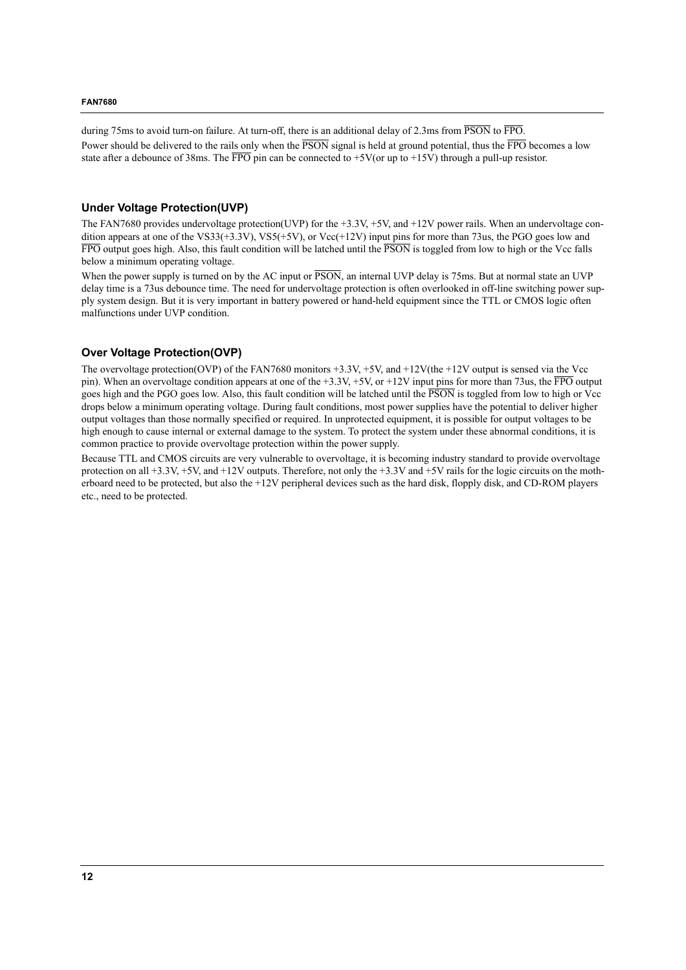during 75ms to avoid turn-on failure. At turn-off, there is an additional delay of 2.3ms from PSON to FPO. Power should be delivered to the rails only when the  $\overline{PSON}$  signal is held at ground potential, thus the  $\overline{FPO}$  becomes a low state after a debounce of 38ms. The  $\overline{FPO}$  pin can be connected to +5V(or up to +15V) through a pull-up resistor.

#### **Under Voltage Protection(UVP)**

The FAN7680 provides undervoltage protection(UVP) for the +3.3V, +5V, and +12V power rails. When an undervoltage condition appears at one of the VS33(+3.3V), VS5(+5V), or Vcc(+12V) input pins for more than 73us, the PGO goes low and  $\overline{FPO}$  output goes high. Also, this fault condition will be latched until the  $\overline{PSON}$  is toggled from low to high or the Vcc falls below a minimum operating voltage.

When the power supply is turned on by the AC input or  $\overline{PSON}$ , an internal UVP delay is 75ms. But at normal state an UVP delay time is a 73us debounce time. The need for undervoltage protection is often overlooked in off-line switching power supply system design. But it is very important in battery powered or hand-held equipment since the TTL or CMOS logic often malfunctions under UVP condition.

#### **Over Voltage Protection(OVP)**

The overvoltage protection(OVP) of the FAN7680 monitors +3.3V, +5V, and +12V(the +12V output is sensed via the Vcc pin). When an overvoltage condition appears at one of the  $+3.3V$ ,  $+5V$ , or  $+12V$  input pins for more than 73us, the  $\overline{FPO}$  output goes high and the PGO goes low. Also, this fault condition will be latched until the PSON is toggled from low to high or Vcc drops below a minimum operating voltage. During fault conditions, most power supplies have the potential to deliver higher output voltages than those normally specified or required. In unprotected equipment, it is possible for output voltages to be high enough to cause internal or external damage to the system. To protect the system under these abnormal conditions, it is common practice to provide overvoltage protection within the power supply.

Because TTL and CMOS circuits are very vulnerable to overvoltage, it is becoming industry standard to provide overvoltage protection on all +3.3V, +5V, and +12V outputs. Therefore, not only the +3.3V and +5V rails for the logic circuits on the motherboard need to be protected, but also the +12V peripheral devices such as the hard disk, flopply disk, and CD-ROM players etc., need to be protected.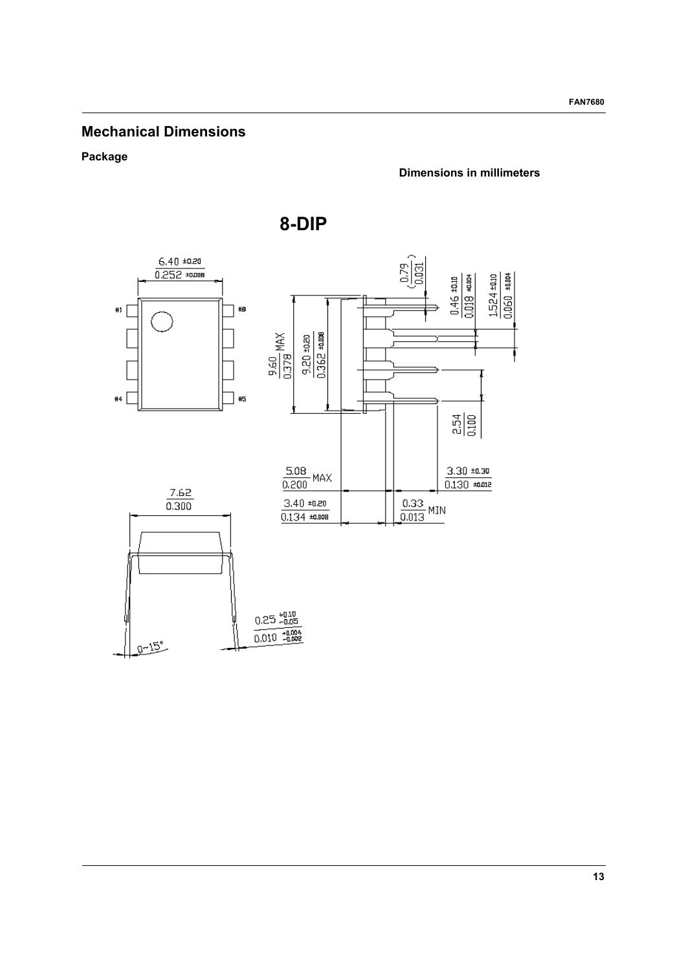## **Mechanical Dimensions**

### **Package**

### **Dimensions in millimeters**



**8-DIP**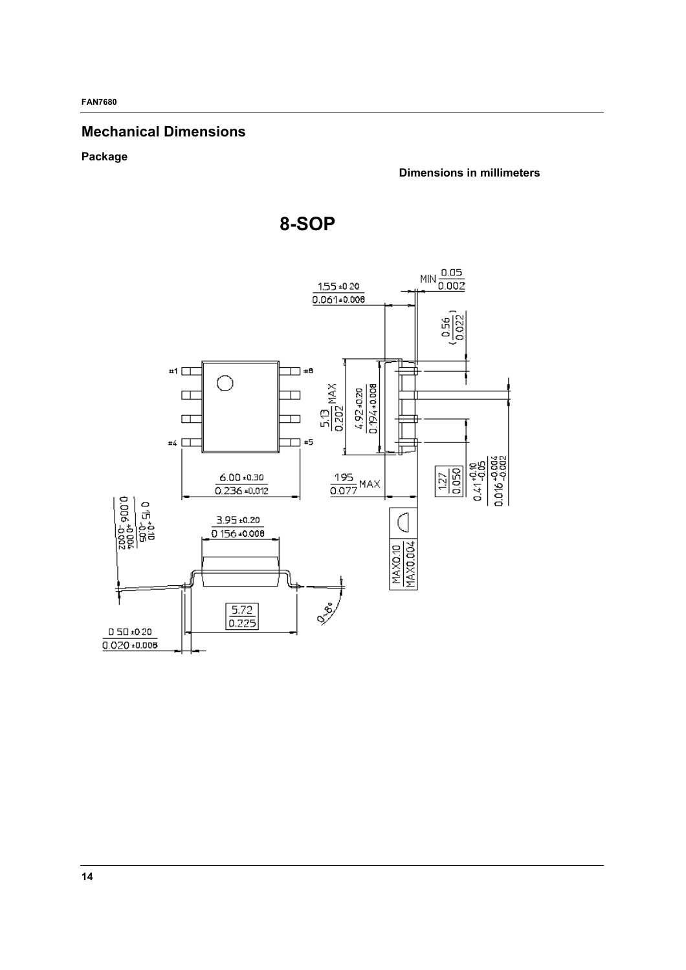## **Mechanical Dimensions**

**Package** 

**Dimensions in millimeters**

**8-SOP**

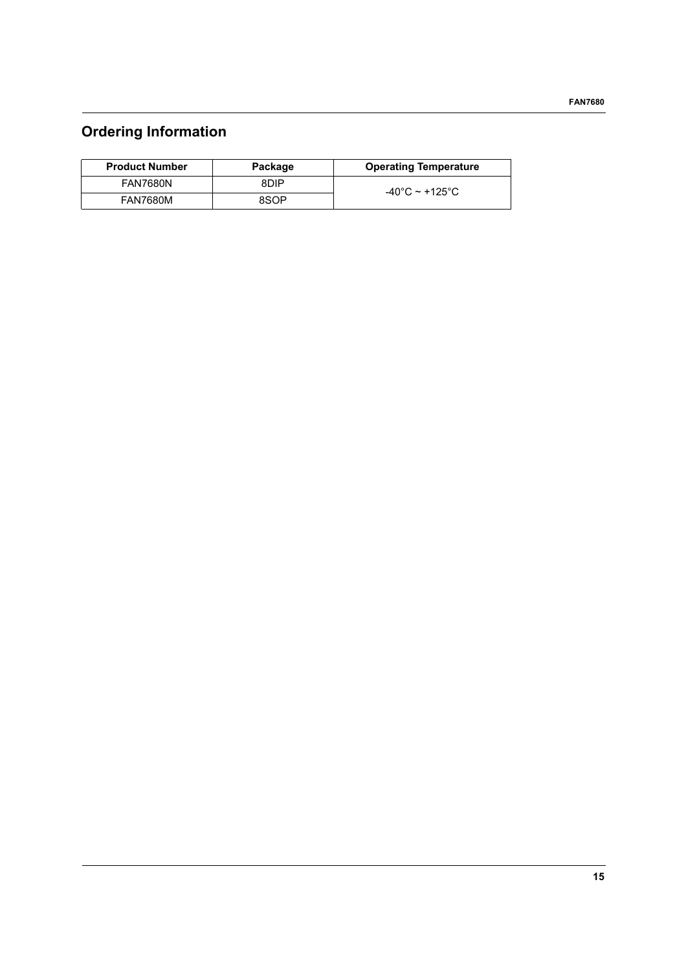# **Ordering Information**

| <b>Product Number</b> | Package | <b>Operating Temperature</b> |
|-----------------------|---------|------------------------------|
| <b>FAN7680N</b>       | 8DIP    | $-40^{\circ}$ C ~ +125°C.    |
| <b>FAN7680M</b>       | 8SOP    |                              |